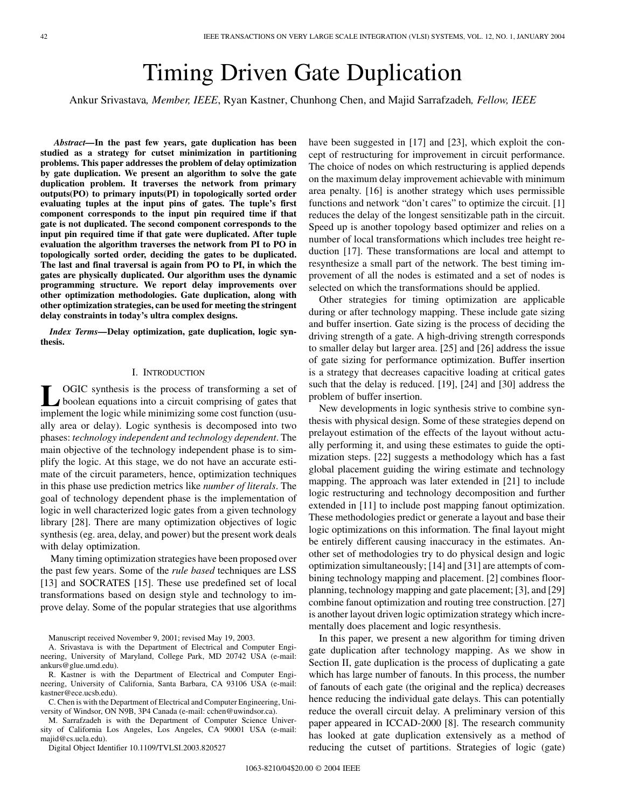# Timing Driven Gate Duplication

Ankur Srivastava*, Member, IEEE*, Ryan Kastner, Chunhong Chen, and Majid Sarrafzadeh*, Fellow, IEEE*

*Abstract—***In the past few years, gate duplication has been studied as a strategy for cutset minimization in partitioning problems. This paper addresses the problem of delay optimization by gate duplication. We present an algorithm to solve the gate duplication problem. It traverses the network from primary outputs(PO) to primary inputs(PI) in topologically sorted order evaluating tuples at the input pins of gates. The tuple's first component corresponds to the input pin required time if that gate is not duplicated. The second component corresponds to the input pin required time if that gate were duplicated. After tuple evaluation the algorithm traverses the network from PI to PO in topologically sorted order, deciding the gates to be duplicated. The last and final traversal is again from PO to PI, in which the gates are physically duplicated. Our algorithm uses the dynamic programming structure. We report delay improvements over other optimization methodologies. Gate duplication, along with other optimization strategies, can be used for meeting the stringent delay constraints in today's ultra complex designs.**

*Index Terms—***Delay optimization, gate duplication, logic synthesis.**

#### I. INTRODUCTION

**L** OGIC synthesis is the process of transforming a set of boolean equations into a circuit comprising of gates that implement the logic while minimizing come cost function (year) implement the logic while minimizing some cost function (usually area or delay). Logic synthesis is decomposed into two phases: *technology independent and technology dependent*. The main objective of the technology independent phase is to simplify the logic. At this stage, we do not have an accurate estimate of the circuit parameters, hence, optimization techniques in this phase use prediction metrics like *number of literals*. The goal of technology dependent phase is the implementation of logic in well characterized logic gates from a given technology library [\[28](#page-9-0)]. There are many optimization objectives of logic synthesis (eg. area, delay, and power) but the present work deals with delay optimization.

Many timing optimization strategies have been proposed over the past few years. Some of the *rule based* techniques are LSS [[13\]](#page-8-0) and SOCRATES [[15\]](#page-8-0). These use predefined set of local transformations based on design style and technology to improve delay. Some of the popular strategies that use algorithms

Manuscript received November 9, 2001; revised May 19, 2003.

A. Srivastava is with the Department of Electrical and Computer Engineering, University of Maryland, College Park, MD 20742 USA (e-mail: ankurs@glue.umd.edu).

R. Kastner is with the Department of Electrical and Computer Engineering, University of California, Santa Barbara, CA 93106 USA (e-mail: kastner@ece.ucsb.edu).

C. Chen is with the Department of Electrical and Computer Engineering, University of Windsor, ON N9B, 3P4 Canada (e-mail: cchen@uwindsor.ca).

M. Sarrafzadeh is with the Department of Computer Science University of California Los Angeles, Los Angeles, CA 90001 USA (e-mail: majid@cs.ucla.edu).

Digital Object Identifier 10.1109/TVLSI.2003.820527

have been suggested in [\[17](#page-8-0)] and [\[23](#page-9-0)], which exploit the concept of restructuring for improvement in circuit performance. The choice of nodes on which restructuring is applied depends on the maximum delay improvement achievable with minimum area penalty. [[16](#page-8-0)] is another strategy which uses permissible functions and network "don't cares" to optimize the circuit. [\[1](#page-8-0)] reduces the delay of the longest sensitizable path in the circuit. Speed up is another topology based optimizer and relies on a number of local transformations which includes tree height reduction [[17\]](#page-8-0). These transformations are local and attempt to resynthesize a small part of the network. The best timing improvement of all the nodes is estimated and a set of nodes is selected on which the transformations should be applied.

Other strategies for timing optimization are applicable during or after technology mapping. These include gate sizing and buffer insertion. Gate sizing is the process of deciding the driving strength of a gate. A high-driving strength corresponds to smaller delay but larger area. [[25\]](#page-9-0) and [[26\]](#page-9-0) address the issue of gate sizing for performance optimization. Buffer insertion is a strategy that decreases capacitive loading at critical gates such that the delay is reduced. [\[19](#page-8-0)], [[24\]](#page-9-0) and [\[30\]](#page-9-0) address the problem of buffer insertion.

New developments in logic synthesis strive to combine synthesis with physical design. Some of these strategies depend on prelayout estimation of the effects of the layout without actually performing it, and using these estimates to guide the optimization steps. [[22\]](#page-9-0) suggests a methodology which has a fast global placement guiding the wiring estimate and technology mapping. The approach was later extended in [\[21](#page-9-0)] to include logic restructuring and technology decomposition and further extended in [[11](#page-8-0)] to include post mapping fanout optimization. These methodologies predict or generate a layout and base their logic optimizations on this information. The final layout might be entirely different causing inaccuracy in the estimates. Another set of methodologies try to do physical design and logic optimization simultaneously; [\[14](#page-8-0)] and [\[31](#page-9-0)] are attempts of combining technology mapping and placement. [[2\]](#page-8-0) combines floorplanning, technology mapping and gate placement; [\[3](#page-8-0)], and [\[29](#page-9-0)] combine fanout optimization and routing tree construction. [\[27](#page-9-0)] is another layout driven logic optimization strategy which incrementally does placement and logic resynthesis.

In this paper, we present a new algorithm for timing driven gate duplication after technology mapping. As we show in Section II, gate duplication is the process of duplicating a gate which has large number of fanouts. In this process, the number of fanouts of each gate (the original and the replica) decreases hence reducing the individual gate delays. This can potentially reduce the overall circuit delay. A preliminary version of this paper appeared in ICCAD-2000 [\[8](#page-8-0)]. The research community has looked at gate duplication extensively as a method of reducing the cutset of partitions. Strategies of logic (gate)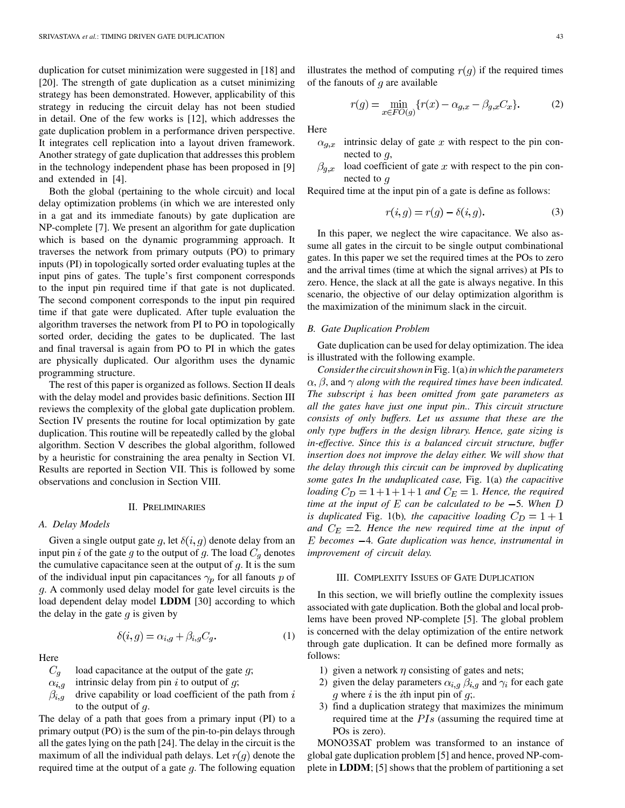duplication for cutset minimization were suggested in [[18\]](#page-8-0) and [\[20](#page-8-0)]. The strength of gate duplication as a cutset minimizing strategy has been demonstrated. However, applicability of this strategy in reducing the circuit delay has not been studied in detail. One of the few works is [\[12](#page-8-0)], which addresses the gate duplication problem in a performance driven perspective. It integrates cell replication into a layout driven framework. Another strategy of gate duplication that addresses this problem in the technology independent phase has been proposed in [[9\]](#page-8-0) and extended in [[4\]](#page-8-0).

Both the global (pertaining to the whole circuit) and local delay optimization problems (in which we are interested only in a gat and its immediate fanouts) by gate duplication are NP-complete [[7\]](#page-8-0). We present an algorithm for gate duplication which is based on the dynamic programming approach. It traverses the network from primary outputs (PO) to primary inputs (PI) in topologically sorted order evaluating tuples at the input pins of gates. The tuple's first component corresponds to the input pin required time if that gate is not duplicated. The second component corresponds to the input pin required time if that gate were duplicated. After tuple evaluation the algorithm traverses the network from PI to PO in topologically sorted order, deciding the gates to be duplicated. The last and final traversal is again from PO to PI in which the gates are physically duplicated. Our algorithm uses the dynamic programming structure.

The rest of this paper is organized as follows. Section II deals with the delay model and provides basic definitions. Section III reviews the complexity of the global gate duplication problem. Section IV presents the routine for local optimization by gate duplication. This routine will be repeatedly called by the global algorithm. Section V describes the global algorithm, followed by a heuristic for constraining the area penalty in Section VI. Results are reported in Section VII. This is followed by some observations and conclusion in Section VIII.

# II. PRELIMINARIES

#### *A. Delay Models*

Given a single output gate g, let  $\delta(i, g)$  denote delay from an input pin i of the gate g to the output of g. The load  $C<sub>g</sub>$  denotes the cumulative capacitance seen at the output of  $g$ . It is the sum of the individual input pin capacitances  $\gamma_p$  for all fanouts p of . A commonly used delay model for gate level circuits is the load dependent delay model **LDDM** [[30\]](#page-9-0) according to which the delay in the gate  $q$  is given by

$$
\delta(i,g) = \alpha_{i,g} + \beta_{i,g} C_g. \tag{1}
$$

Here

- load capacitance at the output of the gate  $q$ ;  $C_q$
- $\alpha_{i,q}$ intrinsic delay from pin  $i$  to output of  $q$ ;
- $\beta_{i,g}$ drive capability or load coefficient of the path from  $i$ to the output of  $q$ .

The delay of a path that goes from a primary input (PI) to a primary output (PO) is the sum of the pin-to-pin delays through all the gates lying on the path [[24\]](#page-9-0). The delay in the circuit is the maximum of all the individual path delays. Let  $r(g)$  denote the required time at the output of a gate  $q$ . The following equation

$$
r(g) = \min_{x \in FO(g)} \{ r(x) - \alpha_{g,x} - \beta_{g,x} C_x \}.
$$
 (2)

Here

- intrinsic delay of gate  $x$  with respect to the pin con- $\alpha_{q,x}$ nected to  $q$ ,
- $\beta_{g,x}$  load coefficient of gate x with respect to the pin connected to  $g$

Required time at the input pin of a gate is define as follows:

$$
r(i,g) = r(g) - \delta(i,g). \tag{3}
$$

In this paper, we neglect the wire capacitance. We also assume all gates in the circuit to be single output combinational gates. In this paper we set the required times at the POs to zero and the arrival times (time at which the signal arrives) at PIs to zero. Hence, the slack at all the gate is always negative. In this scenario, the objective of our delay optimization algorithm is the maximization of the minimum slack in the circuit.

#### *B. Gate Duplication Problem*

Gate duplication can be used for delay optimization. The idea is illustrated with the following example.

*Consider the circuit shown in*Fig. 1(a)*in which the parameters*  $\alpha$ ,  $\beta$ , and  $\gamma$  along with the required times have been indicated. *The subscript has been omitted from gate parameters as all the gates have just one input pin.. This circuit structure consists of only buffers. Let us assume that these are the only type buffers in the design library. Hence, gate sizing is in-effective. Since this is a balanced circuit structure, buffer insertion does not improve the delay either. We will show that the delay through this circuit can be improved by duplicating some gates In the unduplicated case,* Fig. 1(a) *the capacitive loading*  $C_D = 1 + 1 + 1 + 1$  *and*  $C_E = 1$ *. Hence, the required time at the input of*  $E$  *can be calculated to be*  $-5$ *. When*  $D$ *is duplicated* Fig. 1(b), the capacitive loading  $C_D = 1 + 1$ and  $C_E = 2$ . Hence the new required time at the input of *becomes* 4*. Gate duplication was hence, instrumental in improvement of circuit delay.*

# III. COMPLEXITY ISSUES OF GATE DUPLICATION

In this section, we will briefly outline the complexity issues associated with gate duplication. Both the global and local problems have been proved NP-complete [[5\]](#page-8-0). The global problem is concerned with the delay optimization of the entire network through gate duplication. It can be defined more formally as follows:

- 1) given a network  $\eta$  consisting of gates and nets;
- 2) given the delay parameters  $\alpha_{i,q}$   $\beta_{i,q}$  and  $\gamma_i$  for each gate  $g$  where  $i$  is the  $i$ th input pin of  $g$ ;.
- 3) find a duplication strategy that maximizes the minimum required time at the  $PIs$  (assuming the required time at POs is zero).

MONO3SAT problem was transformed to an instance of global gate duplication problem [[5\]](#page-8-0) and hence, proved NP-complete in **LDDM**; [\[5](#page-8-0)] shows that the problem of partitioning a set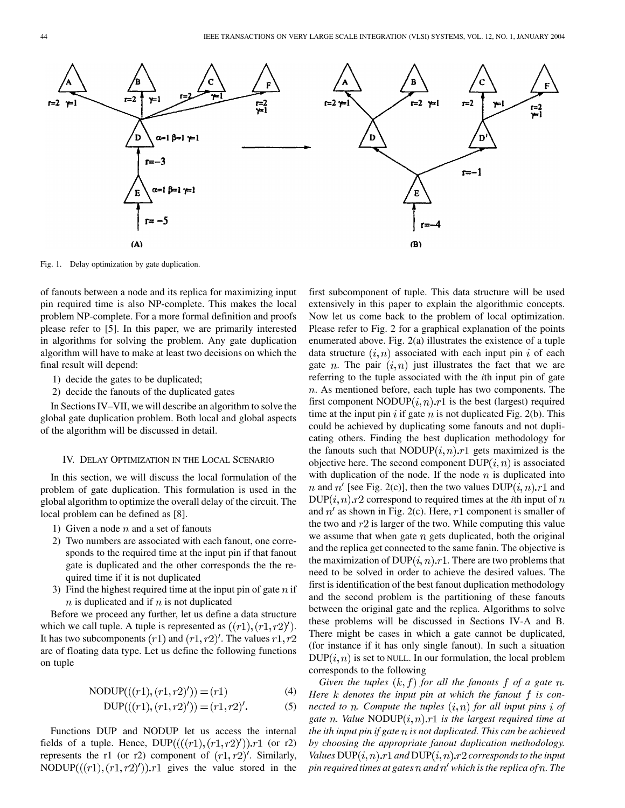

Fig. 1. Delay optimization by gate duplication.

of fanouts between a node and its replica for maximizing input pin required time is also NP-complete. This makes the local problem NP-complete. For a more formal definition and proofs please refer to [\[5](#page-8-0)]. In this paper, we are primarily interested in algorithms for solving the problem. Any gate duplication algorithm will have to make at least two decisions on which the final result will depend:

- 1) decide the gates to be duplicated;
- 2) decide the fanouts of the duplicated gates

In Sections IV–VII, we will describe an algorithm to solve the global gate duplication problem. Both local and global aspects of the algorithm will be discussed in detail.

#### IV. DELAY OPTIMIZATION IN THE LOCAL SCENARIO

In this section, we will discuss the local formulation of the problem of gate duplication. This formulation is used in the global algorithm to optimize the overall delay of the circuit. The local problem can be defined as [\[8](#page-8-0)].

- 1) Given a node  $n$  and a set of fanouts
- 2) Two numbers are associated with each fanout, one corresponds to the required time at the input pin if that fanout gate is duplicated and the other corresponds the the required time if it is not duplicated
- 3) Find the highest required time at the input pin of gate  $n$  if  $n$  is duplicated and if  $n$  is not duplicated

Before we proceed any further, let us define a data structure which we call tuple. A tuple is represented as  $((r1), (r1, r2)')$ . It has two subcomponents  $(r1)$  and  $(r1, r2)'$ . The values  $r1, r2$ are of floating data type. Let us define the following functions on tuple

$$
NODUP(((r1), (r1, r2)')) = (r1)
$$
 (4)

$$
DUP(((r1), (r1, r2)')) = (r1, r2)'. \tag{5}
$$

Functions DUP and NODUP let us access the internal fields of a tuple. Hence,  $DUP(((r1),(r1,r2)'))$ .r1 (or r2) represents the r1 (or r2) component of  $(r1, r2)'$ . Similarly, NODUP( $((r1), (r1, r2)')$ ). $r1$  gives the value stored in the first subcomponent of tuple. This data structure will be used extensively in this paper to explain the algorithmic concepts. Now let us come back to the problem of local optimization. Please refer to Fig. 2 for a graphical explanation of the points enumerated above. Fig. 2(a) illustrates the existence of a tuple data structure  $(i, n)$  associated with each input pin i of each gate *n*. The pair  $(i, n)$  just illustrates the fact that we are referring to the tuple associated with the *i*th input pin of gate  $n$ . As mentioned before, each tuple has two components. The first component NODUP $(i, n)$ . *r*1 is the best (largest) required time at the input pin i if gate n is not duplicated Fig. 2(b). This could be achieved by duplicating some fanouts and not duplicating others. Finding the best duplication methodology for the fanouts such that NODUP $(i, n)$ .  $r1$  gets maximized is the objective here. The second component  $DUP(i, n)$  is associated with duplication of the node. If the node  $n$  is duplicated into *n* and  $n'$  [see Fig. 2(c)], then the two values  $DUP(i, n).r1$  and  $DUP(i, n).r2$  correspond to required times at the *i*th input of *n* and  $n'$  as shown in Fig. 2(c). Here, r1 component is smaller of the two and  $r2$  is larger of the two. While computing this value we assume that when gate  $n$  gets duplicated, both the original and the replica get connected to the same fanin. The objective is the maximization of  $DUP(i, n).r1$ . There are two problems that need to be solved in order to achieve the desired values. The first is identification of the best fanout duplication methodology and the second problem is the partitioning of these fanouts between the original gate and the replica. Algorithms to solve these problems will be discussed in Sections IV-A and B. There might be cases in which a gate cannot be duplicated, (for instance if it has only single fanout). In such a situation  $DUP(i, n)$  is set to NULL. In our formulation, the local problem corresponds to the following

*Given the tuples*  $(k, f)$  *for all the fanouts*  $f$  *of a gate*  $n$ *. Here k* denotes the input pin at which the fanout f is con*nected to n. Compute the tuples*  $(i, n)$  for all input pins *i* of *gate n.* Value NODUP $(i, n)$ . *r*1 *is the largest required time at the ith input pin if gate is not duplicated. This can be achieved by choosing the appropriate fanout duplication methodology. Values*  $DUP(i, n)$ .  $r1$  and  $DUP(i, n)$ .  $r2$  corresponds to the input *pin required times at gates and which is the replica of . The*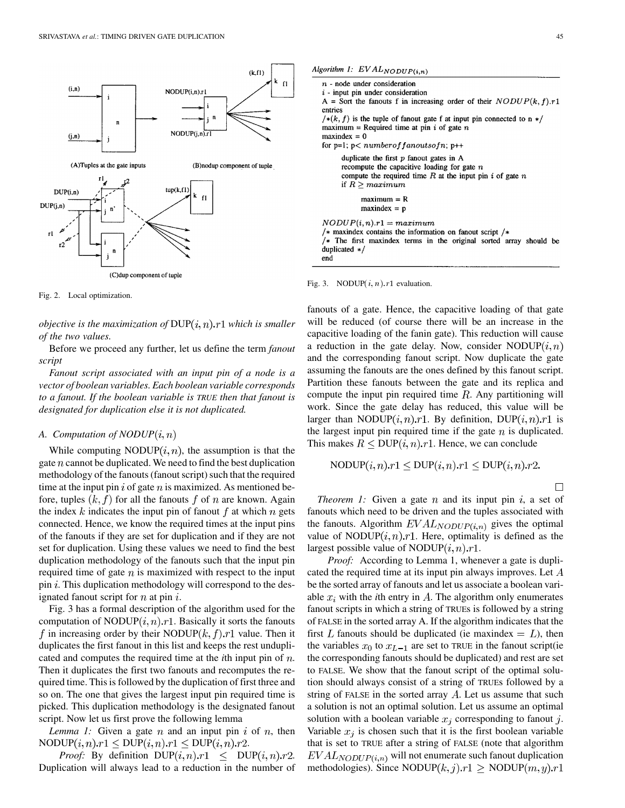

Fig. 2. Local optimization.

*objective is the maximization of*  $DUP(i, n).r1$  which is smaller *of the two values.*

Before we proceed any further, let us define the term *fanout script*

*Fanout script associated with an input pin of a node is a vector of boolean variables. Each boolean variable corresponds to a fanout. If the boolean variable is TRUE then that fanout is designated for duplication else it is not duplicated.*

# *A. Computation of NODUP*

While computing NODUP $(i, n)$ , the assumption is that the gate  $n$  cannot be duplicated. We need to find the best duplication methodology of the fanouts (fanout script) such that the required time at the input pin  $i$  of gate  $n$  is maximized. As mentioned before, tuples  $(k, f)$  for all the fanouts f of n are known. Again the index k indicates the input pin of fanout f at which n gets connected. Hence, we know the required times at the input pins of the fanouts if they are set for duplication and if they are not set for duplication. Using these values we need to find the best duplication methodology of the fanouts such that the input pin required time of gate  $n$  is maximized with respect to the input pin  $i$ . This duplication methodology will correspond to the designated fanout script for  $n$  at pin  $i$ .

Fig. 3 has a formal description of the algorithm used for the computation of NODUP $(i, n)$ . Basically it sorts the fanouts f in increasing order by their NODUP $(k, f)$ . r1 value. Then it duplicates the first fanout in this list and keeps the rest unduplicated and computes the required time at the *th input pin of*  $*n*$ *.* Then it duplicates the first two fanouts and recomputes the required time. This is followed by the duplication of first three and so on. The one that gives the largest input pin required time is picked. This duplication methodology is the designated fanout script. Now let us first prove the following lemma

*Lemma 1:* Given a gate  $n$  and an input pin  $i$  of  $n$ , then  $\text{NODUP}(i, n) \cdot r1 \leq \text{DUP}(i, n) \cdot r1 \leq \text{DUP}(i, n) \cdot r2.$ 

*Proof:* By definition  $DUP(i, n).r1 \leq DUP(i, n).r2$ . Duplication will always lead to a reduction in the number of



#### Fig. 3. NODUP $(i, n)$ : r1 evaluation.

fanouts of a gate. Hence, the capacitive loading of that gate will be reduced (of course there will be an increase in the capacitive loading of the fanin gate). This reduction will cause a reduction in the gate delay. Now, consider NODUP $(i, n)$ and the corresponding fanout script. Now duplicate the gate assuming the fanouts are the ones defined by this fanout script. Partition these fanouts between the gate and its replica and compute the input pin required time  $R$ . Any partitioning will work. Since the gate delay has reduced, this value will be larger than NODUP $(i, n)$ . By definition, DUP $(i, n)$ . T is the largest input pin required time if the gate  $n$  is duplicated. This makes  $R \leq DUP(i, n).r1$ . Hence, we can conclude

$$
NODUP(i, n).r1 \leq DUP(i, n).r1 \leq DUP(i, n).r2.
$$

 $\Box$ 

*Theorem 1:* Given a gate  $n$  and its input pin  $i$ , a set of fanouts which need to be driven and the tuples associated with the fanouts. Algorithm  $EVAL_{NODUP(i,n)}$  gives the optimal value of NODUP $(i, n)$ . Here, optimality is defined as the largest possible value of NODUP $(i, n)$ . $r$ 1.

*Proof:* According to Lemma 1, whenever a gate is duplicated the required time at its input pin always improves. Let  $A$ be the sorted array of fanouts and let us associate a boolean variable  $x_i$  with the *i*th entry in A. The algorithm only enumerates fanout scripts in which a string of TRUEs is followed by a string of FALSE in the sorted array A. If the algorithm indicates that the first L fanouts should be duplicated (ie maxindex  $= L$ ), then the variables  $x_0$  to  $x_{L-1}$  are set to TRUE in the fanout script(ie the corresponding fanouts should be duplicated) and rest are set to FALSE. We show that the fanout script of the optimal solution should always consist of a string of TRUEs followed by a string of FALSE in the sorted array  $A$ . Let us assume that such a solution is not an optimal solution. Let us assume an optimal solution with a boolean variable  $x_i$  corresponding to fanout j. Variable  $x_i$  is chosen such that it is the first boolean variable that is set to TRUE after a string of FALSE (note that algorithm  $EVAL_{NODUP(i,n)}$  will not enumerate such fanout duplication methodologies). Since NODUP( $k, j$ ). $r1 \geq \text{NODUP}(m, y)$ . $r1$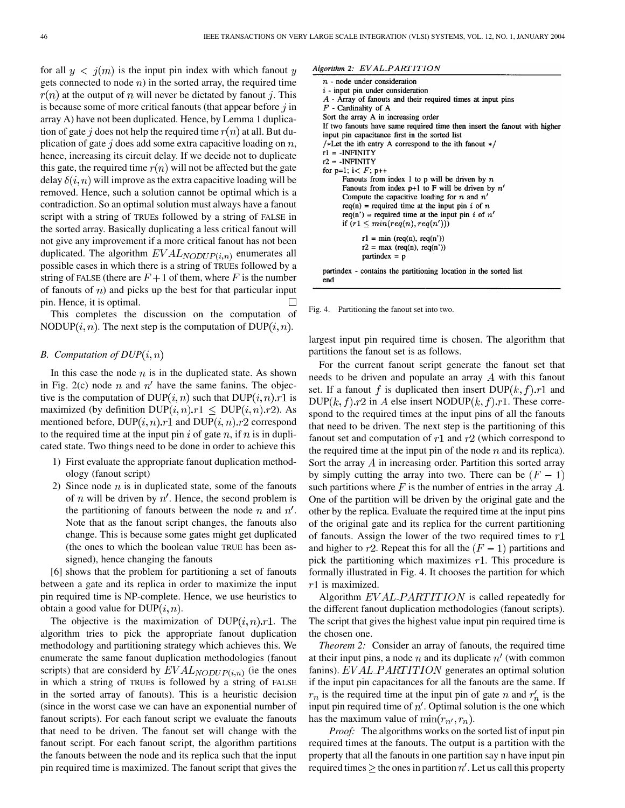for all  $y < j(m)$  is the input pin index with which fanout y gets connected to node  $n$ ) in the sorted array, the required time  $r(n)$  at the output of n will never be dictated by fanout j. This is because some of more critical fanouts (that appear before  $j$  in array A) have not been duplicated. Hence, by Lemma 1 duplication of gate j does not help the required time  $r(n)$  at all. But duplication of gate  $j$  does add some extra capacitive loading on  $n$ , hence, increasing its circuit delay. If we decide not to duplicate this gate, the required time  $r(n)$  will not be affected but the gate delay  $\delta(i, n)$  will improve as the extra capacitive loading will be removed. Hence, such a solution cannot be optimal which is a contradiction. So an optimal solution must always have a fanout script with a string of TRUEs followed by a string of FALSE in the sorted array. Basically duplicating a less critical fanout will not give any improvement if a more critical fanout has not been duplicated. The algorithm  $EVAL_{NODUP(i,n)}$  enumerates all possible cases in which there is a string of TRUEs followed by a string of FALSE (there are  $F + 1$  of them, where F is the number of fanouts of  $n$ ) and picks up the best for that particular input pin. Hence, it is optimal.

This completes the discussion on the computation of NODUP(*i*, *n*). The next step is the computation of DUP(*i*, *n*).

# *B.* Computation of  $DUP(i, n)$

In this case the node  $n$  is in the duplicated state. As shown in Fig. 2(c) node  $n$  and  $n'$  have the same fanins. The objective is the computation of  $DUP(i, n)$  such that  $DUP(i, n).r1$  is maximized (by definition  $DUP(i, n).r1 \leq DUP(i, n).r2$ ). As mentioned before,  $DUP(i, n).r1$  and  $DUP(i, n).r2$  correspond to the required time at the input pin  $i$  of gate  $n$ , if  $n$  is in duplicated state. Two things need to be done in order to achieve this

- 1) First evaluate the appropriate fanout duplication methodology (fanout script)
- 2) Since node  $n$  is in duplicated state, some of the fanouts of *n* will be driven by  $n'$ . Hence, the second problem is the partitioning of fanouts between the node n and  $n'$ . Note that as the fanout script changes, the fanouts also change. This is because some gates might get duplicated (the ones to which the boolean value TRUE has been assigned), hence changing the fanouts

[[6\]](#page-8-0) shows that the problem for partitioning a set of fanouts between a gate and its replica in order to maximize the input pin required time is NP-complete. Hence, we use heuristics to obtain a good value for  $DUP(i, n)$ .

The objective is the maximization of  $DUP(i, n).r1$ . The algorithm tries to pick the appropriate fanout duplication methodology and partitioning strategy which achieves this. We enumerate the same fanout duplication methodologies (fanout scripts) that are considerd by  $EVAL_{NODUP(i,n)}$  (ie the ones in which a string of TRUEs is followed by a string of FALSE in the sorted array of fanouts). This is a heuristic decision (since in the worst case we can have an exponential number of fanout scripts). For each fanout script we evaluate the fanouts that need to be driven. The fanout set will change with the fanout script. For each fanout script, the algorithm partitions the fanouts between the node and its replica such that the input pin required time is maximized. The fanout script that gives the

## Algorithm 2: EVAL\_PARTITION  $n$  - node under consideration  $i$  - input pin under consideration A - Array of fanouts and their required times at input pins  $F$  - Cardinality of A Sort the array A in increasing order If two fanouts have same required time then insert the fanout with higher input pin capacitance first in the sorted list /\*Let the ith entry A correspond to the ith fanout  $*/$  $rl = -INFINITEITY$  $r2 = -INFINITEITY$ for  $p=1$ ;  $i < F$ ;  $p++$ Fanouts from index 1 to p will be driven by  $n$ Fanouts from index  $p+1$  to F will be driven by  $n'$ Compute the capacitive loading for  $n$  and  $n'$ req(n) = required time at the input pin i of n req(n') = required time at the input pin i of  $n'$ if  $(r1 \leq min(req(n),req(n')))$  $r1 = min (req(n), req(n'))$  $r2 = max (req(n), req(n'))$  $partindex = p$

partindex - contains the partitioning location in the sorted list end

Fig. 4. Partitioning the fanout set into two.

largest input pin required time is chosen. The algorithm that partitions the fanout set is as follows.

For the current fanout script generate the fanout set that needs to be driven and populate an array  $A$  with this fanout set. If a fanout f is duplicated then insert  $DUP(k, f).r1$  and  $DUP(k, f).r2$  in A else insert NODUP $(k, f).r1$ . These correspond to the required times at the input pins of all the fanouts that need to be driven. The next step is the partitioning of this fanout set and computation of  $r1$  and  $r2$  (which correspond to the required time at the input pin of the node  $n$  and its replica). Sort the array  $\Lambda$  in increasing order. Partition this sorted array by simply cutting the array into two. There can be  $(F - 1)$ such partitions where  $F$  is the number of entries in the array  $A$ . One of the partition will be driven by the original gate and the other by the replica. Evaluate the required time at the input pins of the original gate and its replica for the current partitioning of fanouts. Assign the lower of the two required times to  $r1$ and higher to r2. Repeat this for all the  $(F - 1)$  partitions and pick the partitioning which maximizes  $r1$ . This procedure is formally illustrated in Fig. 4. It chooses the partition for which  $r1$  is maximized.

Algorithm  $EVAL$  *PARTITION* is called repeatedly for the different fanout duplication methodologies (fanout scripts). The script that gives the highest value input pin required time is the chosen one.

*Theorem 2:* Consider an array of fanouts, the required time at their input pins, a node  $n$  and its duplicate  $n'$  (with common fanins).  $EVAL$  *PARTITION* generates an optimal solution if the input pin capacitances for all the fanouts are the same. If  $r_n$  is the required time at the input pin of gate n and  $r'_n$  is the input pin required time of  $n'$ . Optimal solution is the one which has the maximum value of  $\min(r_{n'}, r_n)$ .

*Proof:* The algorithms works on the sorted list of input pin required times at the fanouts. The output is a partition with the property that all the fanouts in one partition say n have input pin required times  $\geq$  the ones in partition n'. Let us call this property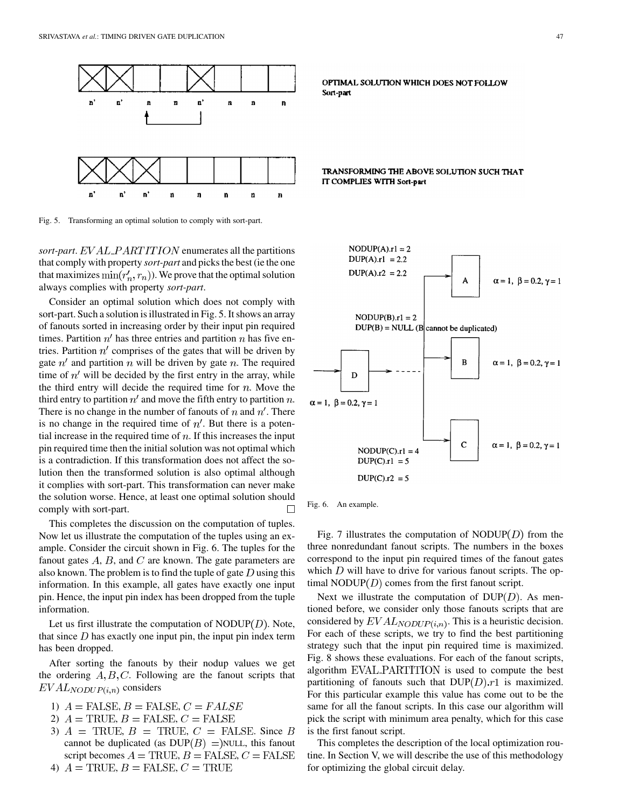

Fig. 5. Transforming an optimal solution to comply with sort-part.

*sort-part. EVAL\_PARTITION* enumerates all the partitions that comply with property *sort-part* and picks the best (ie the one that maximizes  $\min(r'_n, r_n)$ ). We prove that the optimal solution always complies with property *sort-part*.

Consider an optimal solution which does not comply with sort-part. Such a solution is illustrated in Fig. 5. It shows an array of fanouts sorted in increasing order by their input pin required times. Partition  $n'$  has three entries and partition  $n$  has five entries. Partition  $n'$  comprises of the gates that will be driven by gate  $n'$  and partition n will be driven by gate n. The required time of  $n'$  will be decided by the first entry in the array, while the third entry will decide the required time for  $n$ . Move the third entry to partition  $n'$  and move the fifth entry to partition n. There is no change in the number of fanouts of n and  $n'$ . There is no change in the required time of  $n'$ . But there is a potential increase in the required time of  $n$ . If this increases the input pin required time then the initial solution was not optimal which is a contradiction. If this transformation does not affect the solution then the transformed solution is also optimal although it complies with sort-part. This transformation can never make the solution worse. Hence, at least one optimal solution should comply with sort-part.  $\Box$ 

This completes the discussion on the computation of tuples. Now let us illustrate the computation of the tuples using an example. Consider the circuit shown in Fig. 6. The tuples for the fanout gates  $A$ ,  $B$ , and  $C$  are known. The gate parameters are also known. The problem is to find the tuple of gate  $D$  using this information. In this example, all gates have exactly one input pin. Hence, the input pin index has been dropped from the tuple information.

Let us first illustrate the computation of  $NODUP(D)$ . Note, that since  $D$  has exactly one input pin, the input pin index term has been dropped.

After sorting the fanouts by their nodup values we get the ordering  $A, B, C$ . Following are the fanout scripts that  $EVAL_{NODUP(i,n)}$  considers

- 1)  $A = \text{FALSE}, B = \text{FALSE}, C = \text{FALSE}$
- 2)  $A = \text{TRUE}, B = \text{FALSE}, C = \text{FALSE}$
- 3)  $A = \text{TRUE}, B = \text{TRUE}, C = \text{FALSE}.$  Since B cannot be duplicated (as  $DUP(B)$ ) = NULL, this fanout script becomes  $A = \text{TRUE}, B = \text{FALSE}, C = \text{FALSE}$
- 4)  $A = \text{TRUE}, B = \text{FALSE}, C = \text{TRUE}$

OPTIMAL SOLUTION WHICH DOES NOT FOLLOW Sort-part

## TRANSFORMING THE ABOVE SOLUTION SUCH THAT IT COMPLIES WITH Sort-part



Fig. 6. An example.

Fig. 7 illustrates the computation of NODUP $(D)$  from the three nonredundant fanout scripts. The numbers in the boxes correspond to the input pin required times of the fanout gates which  $D$  will have to drive for various fanout scripts. The optimal NODUP $(D)$  comes from the first fanout script.

Next we illustrate the computation of  $DUP(D)$ . As mentioned before, we consider only those fanouts scripts that are considered by  $EVAL_{NODUP(i,n)}$ . This is a heuristic decision. For each of these scripts, we try to find the best partitioning strategy such that the input pin required time is maximized. Fig. 8 shows these evaluations. For each of the fanout scripts, algorithm EVAL PARTITION is used to compute the best partitioning of fanouts such that  $DUP(D).r1$  is maximized. For this particular example this value has come out to be the same for all the fanout scripts. In this case our algorithm will pick the script with minimum area penalty, which for this case is the first fanout script.

This completes the description of the local optimization routine. In Section V, we will describe the use of this methodology for optimizing the global circuit delay.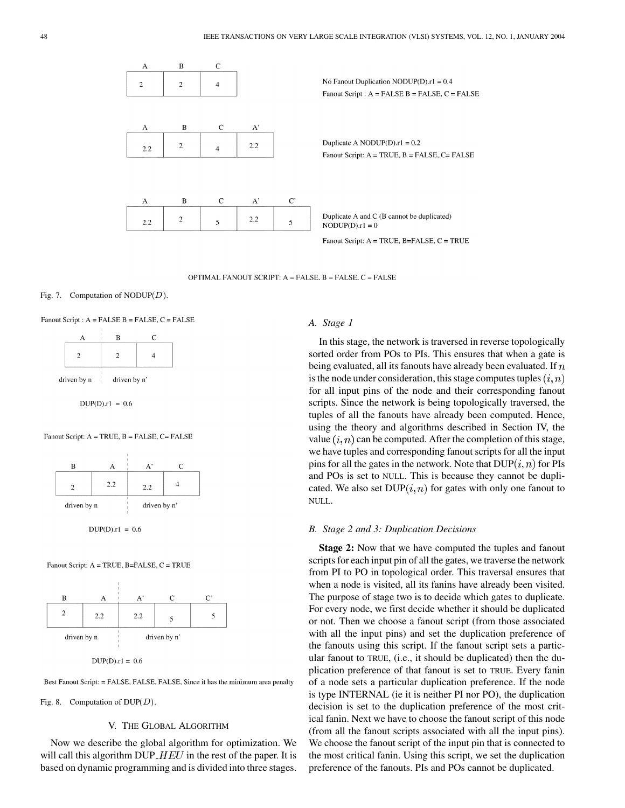

OPTIMAL FANOUT SCRIPT: A = FALSE, B = FALSE, C = FALSE

## Fig. 7. Computation of  $NODUP(D)$ .

Fanout Script : A = FALSE B = FALSE, C = FALSE

|             | в            | r |
|-------------|--------------|---|
|             |              |   |
| driven by n | driven by n' |   |

 $DUP(D).r1 = 0.6$ 

## Fanout Script: A = TRUE, B = FALSE, C= FALSE



 $DUP(D).r1 = 0.6$ 

Fanout Script: A = TRUE, B=FALSE, C = TRUE



 $DUP(D).r1 = 0.6$ 

Best Fanout Script: = FALSE, FALSE, FALSE, Since it has the minimum area penalty

Fig. 8. Computation of  $DUP(D)$ .

#### V. THE GLOBAL ALGORITHM

Now we describe the global algorithm for optimization. We will call this algorithm DUP  $HEU$  in the rest of the paper. It is based on dynamic programming and is divided into three stages.

## *A. Stage 1*

In this stage, the network is traversed in reverse topologically sorted order from POs to PIs. This ensures that when a gate is being evaluated, all its fanouts have already been evaluated. If  $n$ is the node under consideration, this stage computes tuples  $(i, n)$ for all input pins of the node and their corresponding fanout scripts. Since the network is being topologically traversed, the tuples of all the fanouts have already been computed. Hence, using the theory and algorithms described in Section IV, the value  $(i, n)$  can be computed. After the completion of this stage, we have tuples and corresponding fanout scripts for all the input pins for all the gates in the network. Note that  $DUP(i, n)$  for PIs and POs is set to NULL. This is because they cannot be duplicated. We also set  $DUP(i, n)$  for gates with only one fanout to NULL.

#### *B. Stage 2 and 3: Duplication Decisions*

**Stage 2:** Now that we have computed the tuples and fanout scripts for each input pin of all the gates, we traverse the network from PI to PO in topological order. This traversal ensures that when a node is visited, all its fanins have already been visited. The purpose of stage two is to decide which gates to duplicate. For every node, we first decide whether it should be duplicated or not. Then we choose a fanout script (from those associated with all the input pins) and set the duplication preference of the fanouts using this script. If the fanout script sets a particular fanout to TRUE, (i.e., it should be duplicated) then the duplication preference of that fanout is set to TRUE. Every fanin of a node sets a particular duplication preference. If the node is type INTERNAL (ie it is neither PI nor PO), the duplication decision is set to the duplication preference of the most critical fanin. Next we have to choose the fanout script of this node (from all the fanout scripts associated with all the input pins). We choose the fanout script of the input pin that is connected to the most critical fanin. Using this script, we set the duplication preference of the fanouts. PIs and POs cannot be duplicated.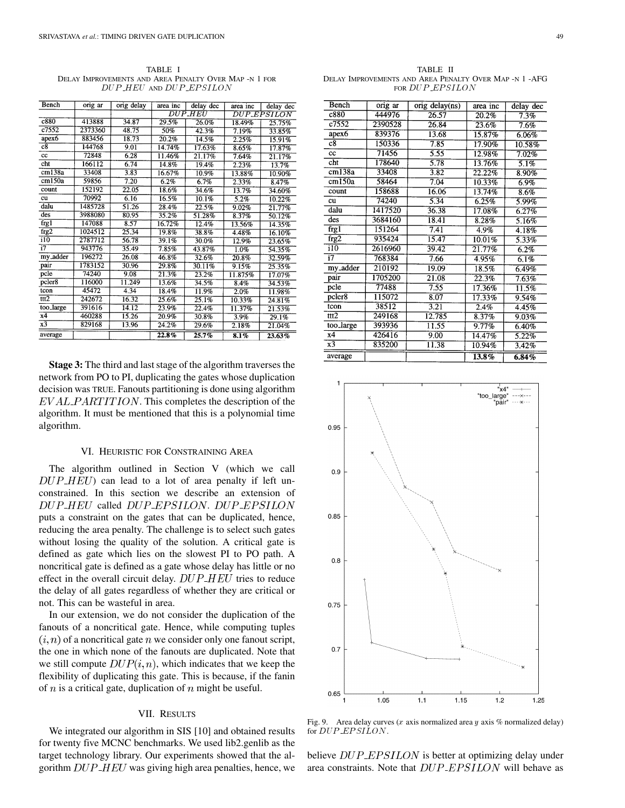TABLE I DELAY IMPROVEMENTS AND AREA PENALTY OVER MAP -N 1 FOR DUP\_HEU AND DUP\_EPSILON

| Bench              | orig ar | orig delay | area inc              | delay dec | area inc | delay dec          |
|--------------------|---------|------------|-----------------------|-----------|----------|--------------------|
|                    |         |            | <i><b>DUP.HEU</b></i> |           |          | <i>DUP EPSILON</i> |
| c880               | 413888  | 34.87      | 29.5%                 | 26.0%     | 18.49%   | 25.75%             |
| $c\overline{7552}$ | 2373360 | 48.75      | 50%                   | 42.3%     | 7.19%    | 33.85%             |
| apex6              | 883456  | 18.73      | 20.2%                 | 14.5%     | 2.25%    | 15.91%             |
| $_{c8}$            | 144768  | 9.01       | 14.74%                | 17.63%    | 8.65%    | 17.87%             |
| cc                 | 72848   | 6.28       | 11.46%                | 21.17%    | 7.64%    | 21.17%             |
| cht                | 166112  | 6.74       | 14.8%                 | 19.4%     | 2.23%    | 13.7%              |
| cm138a             | 33408   | 3.83       | 16.67%                | 10.9%     | 13.88%   | 10.90%             |
| cm150a             | 59856   | 7.20       | 6.2%                  | 6.7%      | 2.33%    | 8.47%              |
| count              | 152192  | 22.05      | 18.6%                 | 34.6%     | 13.7%    | 34.60%             |
| cu                 | 70992   | 6.16       | 16.5%                 | 10.1%     | 5.2%     | 10.22%             |
| dalu               | 1485728 | 51.26      | 28.4%                 | 22.5%     | 9.02%    | 21.77%             |
| des                | 3988080 | 80.95      | 35.2%                 | 51.28%    | 8.37%    | 50.12%             |
| frg1               | 147088  | 8.57       | 16.72%                | 12.4%     | 13.56%   | 14.35%             |
| frg2               | 1024512 | 25.34      | 19.8%                 | 38.8%     | 4.48%    | 16.10%             |
| $\overline{110}$   | 2787712 | 56.78      | 39.1%                 | 30.0%     | 12.9%    | 23.65%             |
| $\overline{17}$    | 943776  | 35.49      | 7.85%                 | 43.87%    | 1.0%     | 54.35%             |
| my_adder           | 196272  | 26.08      | 46.8%                 | 32.6%     | 20.8%    | 32.59%             |
| pair               | 1783152 | 30.96      | 29.8%                 | 30.11%    | 9.15%    | 25.35%             |
| pcle               | 74240   | 9.08       | 21.3%                 | 23.2%     | 11.875%  | 17.07%             |
| pcler8             | 116000  | 11.249     | 13.6%                 | 34.5%     | 8.4%     | 34.53%             |
| tcon               | 45472   | 4.34       | 18.4%                 | 11.9%     | 2.0%     | 11.98%             |
| ttt2               | 242672  | 16.32      | 25.6%                 | 25.1%     | 10.33%   | 24.81%             |
| too_large          | 391616  | 14.12      | 23.9%                 | 22.4%     | 11.37%   | 21.53%             |
| x4                 | 460288  | 15.26      | 20.9%                 | 30.8%     | 3.9%     | 29.1%              |
| x3                 | 829168  | 13.96      | 24.2%                 | 29.6%     | 2.18%    | 21.04%             |
| average            |         |            | 22.8%                 | 25.7%     | 8.1%     | 23.63%             |

**Stage 3:** The third and last stage of the algorithm traverses the network from PO to PI, duplicating the gates whose duplication decision was TRUE. Fanouts partitioning is done using algorithm  $EVAL$   $PARTITION$ . This completes the description of the algorithm. It must be mentioned that this is a polynomial time algorithm.

# VI. HEURISTIC FOR CONSTRAINING AREA

The algorithm outlined in Section V (which we call  $DUP$ <sub>-HEU</sub>) can lead to a lot of area penalty if left unconstrained. In this section we describe an extension of DUP\_HEU called DUP\_EPSILON. DUP\_EPSILON puts a constraint on the gates that can be duplicated, hence, reducing the area penalty. The challenge is to select such gates without losing the quality of the solution. A critical gate is defined as gate which lies on the slowest PI to PO path. A noncritical gate is defined as a gate whose delay has little or no effect in the overall circuit delay.  $DUP$ <sub>-HEU</sub> tries to reduce the delay of all gates regardless of whether they are critical or not. This can be wasteful in area.

In our extension, we do not consider the duplication of the fanouts of a noncritical gate. Hence, while computing tuples  $(i, n)$  of a noncritical gate n we consider only one fanout script, the one in which none of the fanouts are duplicated. Note that we still compute  $DUP(i, n)$ , which indicates that we keep the flexibility of duplicating this gate. This is because, if the fanin of  $n$  is a critical gate, duplication of  $n$  might be useful.

# VII. RESULTS

We integrated our algorithm in SIS [[10\]](#page-8-0) and obtained results for twenty five MCNC benchmarks. We used lib2.genlib as the target technology library. Our experiments showed that the algorithm  $DUP$ - $HEU$  was giving high area penalties, hence, we

TABLE II DELAY IMPROVEMENTS AND AREA PENALTY OVER MAP -N 1 -AFG FOR DUP\_EPSILON

| Bench              | orig ar | orig delay(ns) | area inc  | delay dec |
|--------------------|---------|----------------|-----------|-----------|
| c880               | 444976  | 26.57          | 20.2%     | 7.3%      |
| c7552              | 2390528 | 26.84          | 23.6%     | 7.6%      |
| apex6              | 839376  | 13.68          | 15.87%    | 6.06%     |
| c8                 | 150336  | 7.85           | 17.90%    | 10.58%    |
| cc                 | 71456   | 5.55           | 12.98%    | 7.02%     |
| cht                | 178640  | 5.78           | 13.76%    | 5.1%      |
| cm138a             | 33408   | 3.82           | 22.22%    | 8.90%     |
| cm150a             | 58464   | 7.04           | 10.33%    | 6.9%      |
| count              | 158688  | 16.06          | 13.74%    | 8.6%      |
| cu                 | 74240   | 5.34           | 6.25%     | 5.99%     |
| dalu               | 1417520 | 36.38          | $17.08\%$ | 6.27%     |
| des                | 3684160 | 18.41          | $8.28\%$  | 5.16%     |
| frg1               | 151264  | 7.41           | $4.9\%$   | 4.18%     |
| frg2               | 935424  | 15.47          | 10.01%    | 5.33%     |
| $\overline{110}$   | 2616960 | 39.42          | $21.77\%$ | $6.2\%$   |
| $\overline{17}$    | 768384  | 7.66           | 4.95%     | 6.1%      |
| my_adder           | 210192  | 19.09          | 18.5%     | 6.49%     |
| pair               | 1705200 | 21.08          | 22.3%     | 7.63%     |
| pcle               | 77488   | 7.55           | 17.36%    | 11.5%     |
| pcler <sub>8</sub> | 115072  | 8.07           | 17.33%    | 9.54%     |
| tcon               | 38512   | 3.21           | 2.4%      | 4.45%     |
| ttt2               | 249168  | 12.785         | 8.37%     | 9.03%     |
| too_large          | 393936  | 11.55          | 9.77%     | 6.40%     |
| x4                 | 426416  | 9.00           | 14.47%    | 5.22%     |
| x3                 | 835200  | 11.38          | 10.94%    | 3.42%     |
| average            |         |                | 13.8%     | 6.84%     |



Fig. 9. Area delay curves (x axis normalized area y axis % normalized delay) for DUP\_EPSILON.

believe  $DUP\_EPSILON$  is better at optimizing delay under area constraints. Note that  $DUP$ - $EPSILON$  will behave as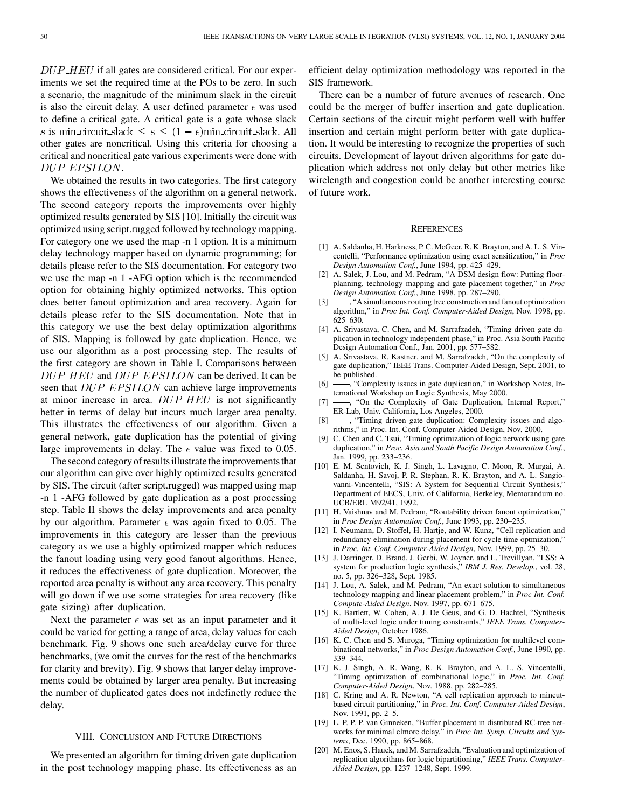<span id="page-8-0"></span> $DUP$  *HEU* if all gates are considered critical. For our experiments we set the required time at the POs to be zero. In such a scenario, the magnitude of the minimum slack in the circuit is also the circuit delay. A user defined parameter  $\epsilon$  was used to define a critical gate. A critical gate is a gate whose slack s is min-circuit slack  $\leq$  s  $\leq$   $(1 - \epsilon)$ min-circuit slack. All other gates are noncritical. Using this criteria for choosing a critical and noncritical gate various experiments were done with DUP\_EPSILON.

We obtained the results in two categories. The first category shows the effectiveness of the algorithm on a general network. The second category reports the improvements over highly optimized results generated by SIS [10]. Initially the circuit was optimized using script.rugged followed by technology mapping. For category one we used the map -n 1 option. It is a minimum delay technology mapper based on dynamic programming; for details please refer to the SIS documentation. For category two we use the map -n 1 -AFG option which is the recommended option for obtaining highly optimized networks. This option does better fanout optimization and area recovery. Again for details please refer to the SIS documentation. Note that in this category we use the best delay optimization algorithms of SIS. Mapping is followed by gate duplication. Hence, we use our algorithm as a post processing step. The results of the first category are shown in Table I. Comparisons between  $DUP$ <sub>-HEU</sub> and  $DUP$ <sub>-EPSILON</sub> can be derived. It can be seen that  $DUP$ <sub>-EPSILON</sub> can achieve large improvements at minor increase in area.  $DUP$  *HEU* is not significantly better in terms of delay but incurs much larger area penalty. This illustrates the effectiveness of our algorithm. Given a general network, gate duplication has the potential of giving large improvements in delay. The  $\epsilon$  value was fixed to 0.05.

The second category of results illustrate the improvements that our algorithm can give over highly optimized results generated by SIS. The circuit (after script.rugged) was mapped using map -n 1 -AFG followed by gate duplication as a post processing step. Table II shows the delay improvements and area penalty by our algorithm. Parameter  $\epsilon$  was again fixed to 0.05. The improvements in this category are lesser than the previous category as we use a highly optimized mapper which reduces the fanout loading using very good fanout algorithms. Hence, it reduces the effectiveness of gate duplication. Moreover, the reported area penalty is without any area recovery. This penalty will go down if we use some strategies for area recovery (like gate sizing) after duplication.

Next the parameter  $\epsilon$  was set as an input parameter and it could be varied for getting a range of area, delay values for each benchmark. Fig. 9 shows one such area/delay curve for three benchmarks, (we omit the curves for the rest of the benchmarks for clarity and brevity). Fig. 9 shows that larger delay improvements could be obtained by larger area penalty. But increasing the number of duplicated gates does not indefinetly reduce the delay.

## VIII. CONCLUSION AND FUTURE DIRECTIONS

We presented an algorithm for timing driven gate duplication in the post technology mapping phase. Its effectiveness as an efficient delay optimization methodology was reported in the SIS framework.

There can be a number of future avenues of research. One could be the merger of buffer insertion and gate duplication. Certain sections of the circuit might perform well with buffer insertion and certain might perform better with gate duplication. It would be interesting to recognize the properties of such circuits. Development of layout driven algorithms for gate duplication which address not only delay but other metrics like wirelength and congestion could be another interesting course of future work.

#### **REFERENCES**

- [1] A. Saldanha, H. Harkness, P. C. McGeer, R. K. Brayton, and A. L. S. Vincentelli, "Performance optimization using exact sensitization," in *Proc Design Automation Conf.*, June 1994, pp. 425–429.
- [2] A. Salek, J. Lou, and M. Pedram, "A DSM design flow: Putting floorplanning, technology mapping and gate placement together," in *Proc Design Automation Conf.*, June 1998, pp. 287–290.
- [3]  $\rightarrow$  "A simultaneous routing tree construction and fanout optimization algorithm," in *Proc Int. Conf. Computer-Aided Design*, Nov. 1998, pp. 625–630.
- [4] A. Srivastava, C. Chen, and M. Sarrafzadeh, "Timing driven gate duplication in technology independent phase," in Proc. Asia South Pacific Design Automation Conf., Jan. 2001, pp. 577–582.
- [5] A. Srivastava, R. Kastner, and M. Sarrafzadeh, "On the complexity of gate duplication," IEEE Trans. Computer-Aided Design, Sept. 2001, to be published.
- [6]  $\rightarrow$  "Complexity issues in gate duplication," in Workshop Notes, International Workshop on Logic Synthesis, May 2000.
- [7] -, "On the Complexity of Gate Duplication, Internal Report," ER-Lab, Univ. California, Los Angeles, 2000.
- [8]  $\rightarrow$  "Timing driven gate duplication: Complexity issues and algorithms," in Proc. Int. Conf. Computer-Aided Design, Nov. 2000.
- [9] C. Chen and C. Tsui, "Timing optimization of logic network using gate duplication," in *Proc. Asia and South Pacific Design Automation Conf.*, Jan. 1999, pp. 233–236.
- [10] E. M. Sentovich, K. J. Singh, L. Lavagno, C. Moon, R. Murgai, A. Saldanha, H. Savoj, P. R. Stephan, R. K. Brayton, and A. L. Sangiovanni-Vincentelli, "SIS: A System for Sequential Circuit Synthesis," Department of EECS, Univ. of California, Berkeley, Memorandum no. UCB/ERL M92/41, 1992.
- [11] H. Vaishnav and M. Pedram, "Routability driven fanout optimization," in *Proc Design Automation Conf.*, June 1993, pp. 230–235.
- [12] I. Neumann, D. Stoffel, H. Hartje, and W. Kunz, "Cell replication and redundancy elimination during placement for cycle time optmization," in *Proc. Int. Conf. Computer-Aided Design*, Nov. 1999, pp. 25–30.
- [13] J. Darringer, D. Brand, J. Gerbi, W. Joyner, and L. Trevillyan, "LSS: A system for production logic synthesis," *IBM J. Res. Develop.*, vol. 28, no. 5, pp. 326–328, Sept. 1985.
- [14] J. Lou, A. Salek, and M. Pedram, "An exact solution to simultaneous technology mapping and linear placement problem," in *Proc Int. Conf. Compute-Aided Design*, Nov. 1997, pp. 671–675.
- [15] K. Bartlett, W. Cohen, A. J. De Geus, and G. D. Hachtel, "Synthesis of multi-level logic under timing constraints," *IEEE Trans. Computer-Aided Design*, October 1986.
- [16] K. C. Chen and S. Muroga, "Timing optimization for multilevel combinational networks," in *Proc Design Automation Conf.*, June 1990, pp. 339–344.
- [17] K. J. Singh, A. R. Wang, R. K. Brayton, and A. L. S. Vincentelli, "Timing optimization of combinational logic," in *Proc. Int. Conf. Computer-Aided Design*, Nov. 1988, pp. 282–285.
- [18] C. Kring and A. R. Newton, "A cell replication approach to mincutbased circuit partitioning," in *Proc. Int. Conf. Computer-Aided Design*, Nov. 1991, pp. 2–5.
- [19] L. P. P. P. van Ginneken, "Buffer placement in distributed RC-tree networks for minimal elmore delay," in *Proc Int. Symp. Circuits and Systems*, Dec. 1990, pp. 865–868.
- [20] M. Enos, S. Hauck, and M. Sarrafzadeh, "Evaluation and optimization of replication algorithms for logic bipartitioning," *IEEE Trans. Computer-Aided Design*, pp. 1237–1248, Sept. 1999.